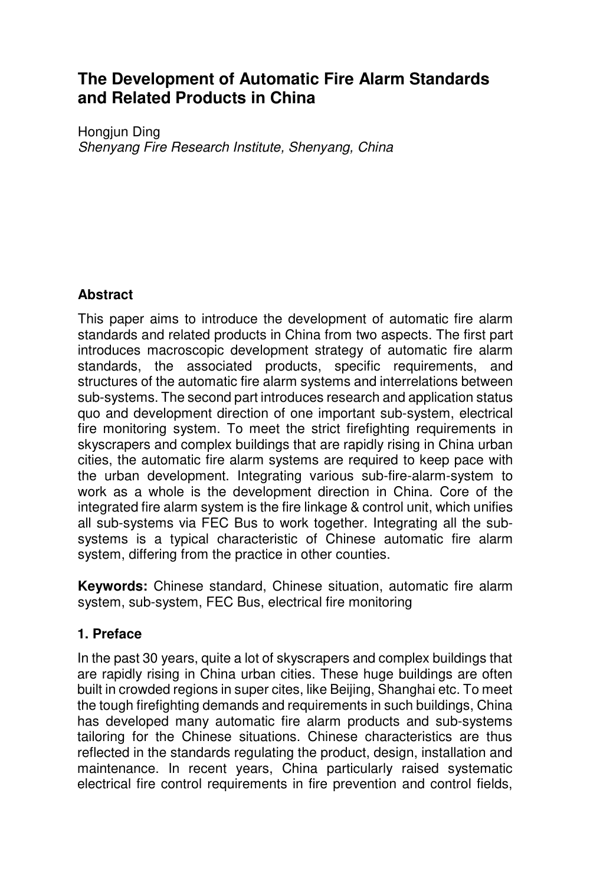# **The Development of Automatic Fire Alarm Standards and Related Products in China**

Hongiun Ding *Shenyang Fire Research Institute, Shenyang, China* 

## **Abstract**

This paper aims to introduce the development of automatic fire alarm standards and related products in China from two aspects. The first part introduces macroscopic development strategy of automatic fire alarm standards, the associated products, specific requirements, and structures of the automatic fire alarm systems and interrelations between sub-systems. The second part introduces research and application status quo and development direction of one important sub-system, electrical fire monitoring system. To meet the strict firefighting requirements in skyscrapers and complex buildings that are rapidly rising in China urban cities, the automatic fire alarm systems are required to keep pace with the urban development. Integrating various sub-fire-alarm-system to work as a whole is the development direction in China. Core of the integrated fire alarm system is the fire linkage & control unit, which unifies all sub-systems via FEC Bus to work together. Integrating all the subsystems is a typical characteristic of Chinese automatic fire alarm system, differing from the practice in other counties.

**Keywords:** Chinese standard, Chinese situation, automatic fire alarm system, sub-system, FEC Bus, electrical fire monitoring

### **1. Preface**

In the past 30 years, quite a lot of skyscrapers and complex buildings that are rapidly rising in China urban cities. These huge buildings are often built in crowded regions in super cites, like Beijing, Shanghai etc. To meet the tough firefighting demands and requirements in such buildings, China has developed many automatic fire alarm products and sub-systems tailoring for the Chinese situations. Chinese characteristics are thus reflected in the standards regulating the product, design, installation and maintenance. In recent years, China particularly raised systematic electrical fire control requirements in fire prevention and control fields,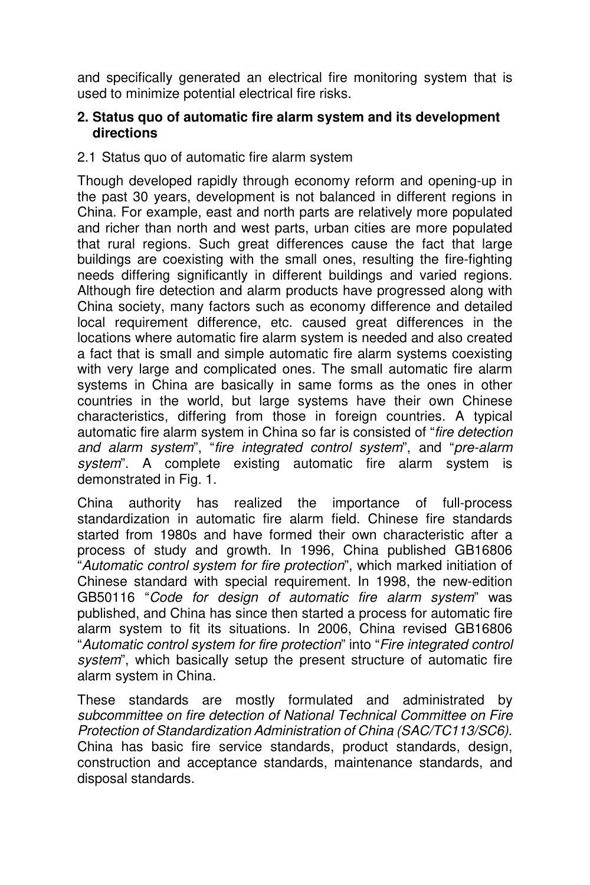and specifically generated an electrical fire monitoring system that is used to minimize potential electrical fire risks.

#### **2. Status quo of automatic fire alarm system and its development directions**

### 2.1 Status quo of automatic fire alarm system

Though developed rapidly through economy reform and opening-up in the past 30 years, development is not balanced in different regions in China. For example, east and north parts are relatively more populated and richer than north and west parts, urban cities are more populated that rural regions. Such great differences cause the fact that large buildings are coexisting with the small ones, resulting the fire-fighting needs differing significantly in different buildings and varied regions. Although fire detection and alarm products have progressed along with China society, many factors such as economy difference and detailed local requirement difference, etc. caused great differences in the locations where automatic fire alarm system is needed and also created a fact that is small and simple automatic fire alarm systems coexisting with very large and complicated ones. The small automatic fire alarm systems in China are basically in same forms as the ones in other countries in the world, but large systems have their own Chinese characteristics, differing from those in foreign countries. A typical automatic fire alarm system in China so far is consisted of "*fire detection and alarm system*", "*fire integrated control system*", and "*pre-alarm system*". A complete existing automatic fire alarm system is demonstrated in Fig. 1.

China authority has realized the importance of full-process standardization in automatic fire alarm field. Chinese fire standards started from 1980s and have formed their own characteristic after a process of study and growth. In 1996, China published GB16806 "*Automatic control system for fire protection*", which marked initiation of Chinese standard with special requirement. In 1998, the new-edition GB50116 "*Code for design of automatic fire alarm system*" was published, and China has since then started a process for automatic fire alarm system to fit its situations. In 2006, China revised GB16806 "*Automatic control system for fire protection*" into "*Fire integrated control system*", which basically setup the present structure of automatic fire alarm system in China.

These standards are mostly formulated and administrated by *subcommittee on fire detection of National Technical Committee on Fire Protection of Standardization Administration of China (SAC/TC113/SC6)*. China has basic fire service standards, product standards, design, construction and acceptance standards, maintenance standards, and disposal standards.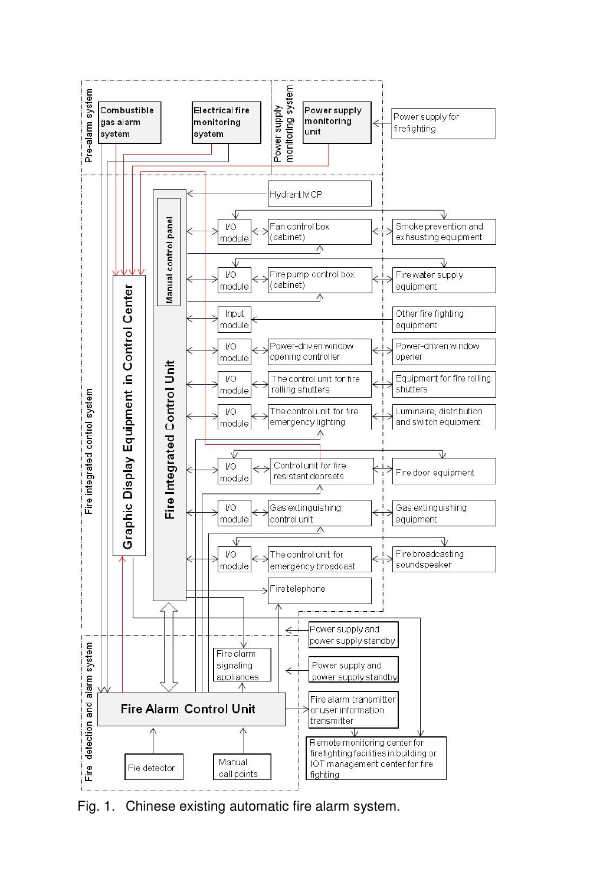

Fig. 1. Chinese existing automatic fire alarm system.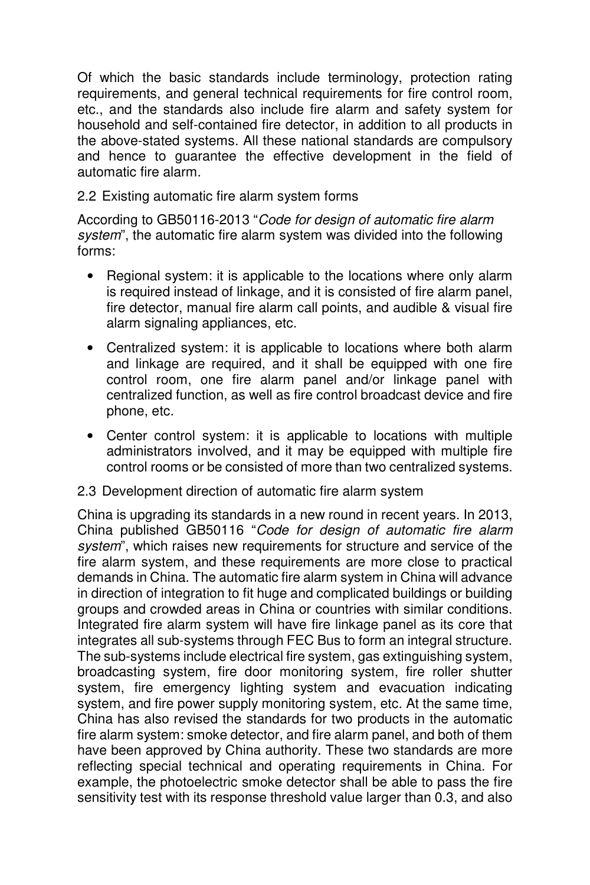Of which the basic standards include terminology, protection rating requirements, and general technical requirements for fire control room, etc., and the standards also include fire alarm and safety system for household and self-contained fire detector, in addition to all products in the above-stated systems. All these national standards are compulsory and hence to guarantee the effective development in the field of automatic fire alarm.

### 2.2 Existing automatic fire alarm system forms

According to GB50116-2013 "*Code for design of automatic fire alarm system*", the automatic fire alarm system was divided into the following forms:

- Regional system: it is applicable to the locations where only alarm is required instead of linkage, and it is consisted of fire alarm panel, fire detector, manual fire alarm call points, and audible & visual fire alarm signaling appliances, etc.
- Centralized system: it is applicable to locations where both alarm and linkage are required, and it shall be equipped with one fire control room, one fire alarm panel and/or linkage panel with centralized function, as well as fire control broadcast device and fire phone, etc.
- Center control system: it is applicable to locations with multiple administrators involved, and it may be equipped with multiple fire control rooms or be consisted of more than two centralized systems.

#### 2.3 Development direction of automatic fire alarm system

China is upgrading its standards in a new round in recent years. In 2013, China published GB50116 "*Code for design of automatic fire alarm system*", which raises new requirements for structure and service of the fire alarm system, and these requirements are more close to practical demands in China. The automatic fire alarm system in China will advance in direction of integration to fit huge and complicated buildings or building groups and crowded areas in China or countries with similar conditions. Integrated fire alarm system will have fire linkage panel as its core that integrates all sub-systems through FEC Bus to form an integral structure. The sub-systems include electrical fire system, gas extinguishing system, broadcasting system, fire door monitoring system, fire roller shutter system, fire emergency lighting system and evacuation indicating system, and fire power supply monitoring system, etc. At the same time, China has also revised the standards for two products in the automatic fire alarm system: smoke detector, and fire alarm panel, and both of them have been approved by China authority. These two standards are more reflecting special technical and operating requirements in China. For example, the photoelectric smoke detector shall be able to pass the fire sensitivity test with its response threshold value larger than 0.3, and also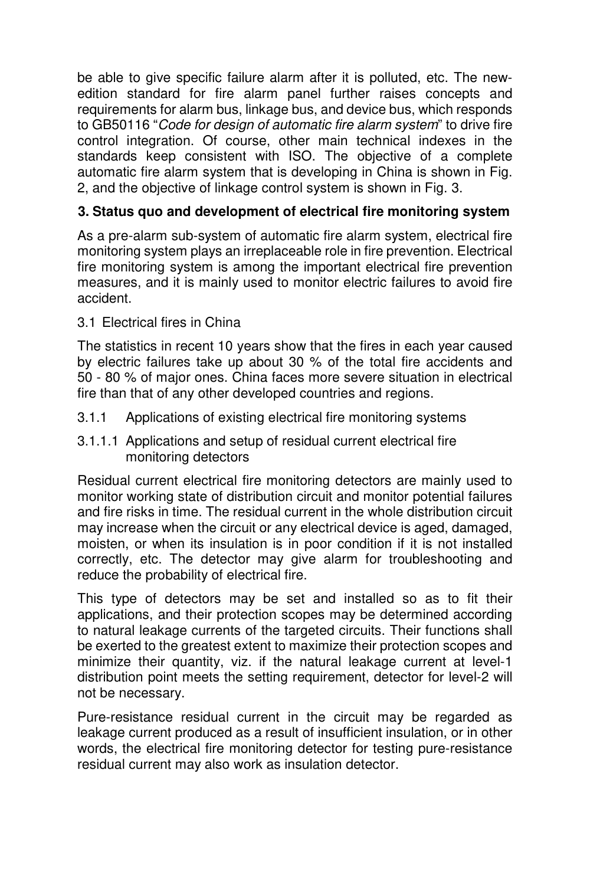be able to give specific failure alarm after it is polluted, etc. The newedition standard for fire alarm panel further raises concepts and requirements for alarm bus, linkage bus, and device bus, which responds to GB50116 "*Code for design of automatic fire alarm system*" to drive fire control integration. Of course, other main technical indexes in the standards keep consistent with ISO. The objective of a complete automatic fire alarm system that is developing in China is shown in Fig. 2, and the objective of linkage control system is shown in Fig. 3.

## **3. Status quo and development of electrical fire monitoring system**

As a pre-alarm sub-system of automatic fire alarm system, electrical fire monitoring system plays an irreplaceable role in fire prevention. Electrical fire monitoring system is among the important electrical fire prevention measures, and it is mainly used to monitor electric failures to avoid fire accident.

3.1 Electrical fires in China

The statistics in recent 10 years show that the fires in each year caused by electric failures take up about 30 % of the total fire accidents and 50 - 80 % of major ones. China faces more severe situation in electrical fire than that of any other developed countries and regions.

- 3.1.1 Applications of existing electrical fire monitoring systems
- 3.1.1.1 Applications and setup of residual current electrical fire monitoring detectors

Residual current electrical fire monitoring detectors are mainly used to monitor working state of distribution circuit and monitor potential failures and fire risks in time. The residual current in the whole distribution circuit may increase when the circuit or any electrical device is aged, damaged, moisten, or when its insulation is in poor condition if it is not installed correctly, etc. The detector may give alarm for troubleshooting and reduce the probability of electrical fire.

This type of detectors may be set and installed so as to fit their applications, and their protection scopes may be determined according to natural leakage currents of the targeted circuits. Their functions shall be exerted to the greatest extent to maximize their protection scopes and minimize their quantity, viz. if the natural leakage current at level-1 distribution point meets the setting requirement, detector for level-2 will not be necessary.

Pure-resistance residual current in the circuit may be regarded as leakage current produced as a result of insufficient insulation, or in other words, the electrical fire monitoring detector for testing pure-resistance residual current may also work as insulation detector.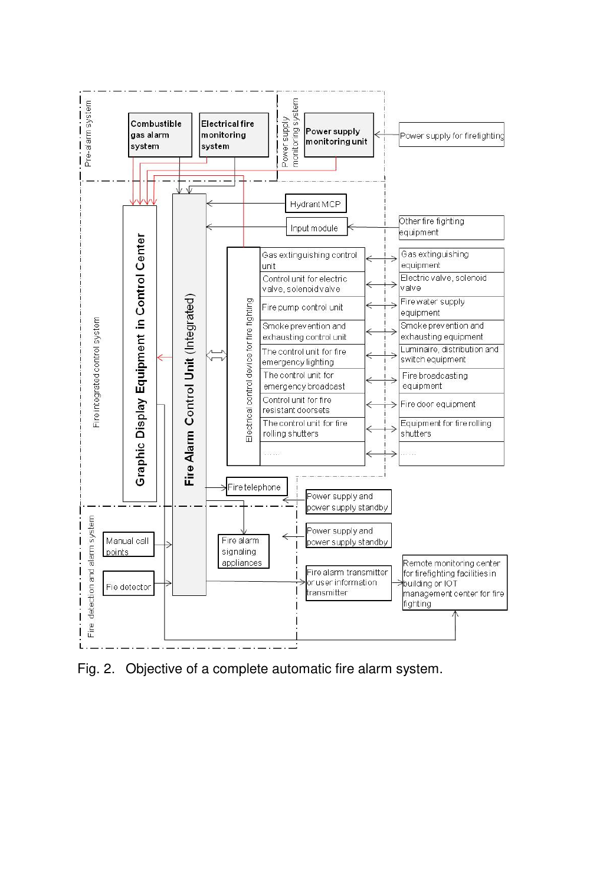

Fig. 2. Objective of a complete automatic fire alarm system.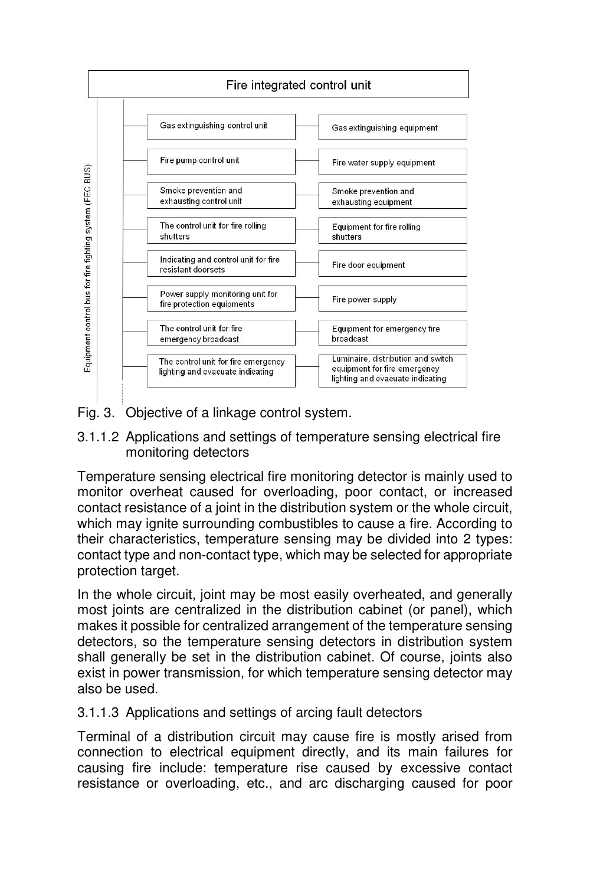

Fig. 3. Objective of a linkage control system.

#### 3.1.1.2 Applications and settings of temperature sensing electrical fire monitoring detectors

Temperature sensing electrical fire monitoring detector is mainly used to monitor overheat caused for overloading, poor contact, or increased contact resistance of a joint in the distribution system or the whole circuit, which may ignite surrounding combustibles to cause a fire. According to their characteristics, temperature sensing may be divided into 2 types: contact type and non-contact type, which may be selected for appropriate protection target.

In the whole circuit, joint may be most easily overheated, and generally most joints are centralized in the distribution cabinet (or panel), which makes it possible for centralized arrangement of the temperature sensing detectors, so the temperature sensing detectors in distribution system shall generally be set in the distribution cabinet. Of course, joints also exist in power transmission, for which temperature sensing detector may also be used.

#### 3.1.1.3 Applications and settings of arcing fault detectors

Terminal of a distribution circuit may cause fire is mostly arised from connection to electrical equipment directly, and its main failures for causing fire include: temperature rise caused by excessive contact resistance or overloading, etc., and arc discharging caused for poor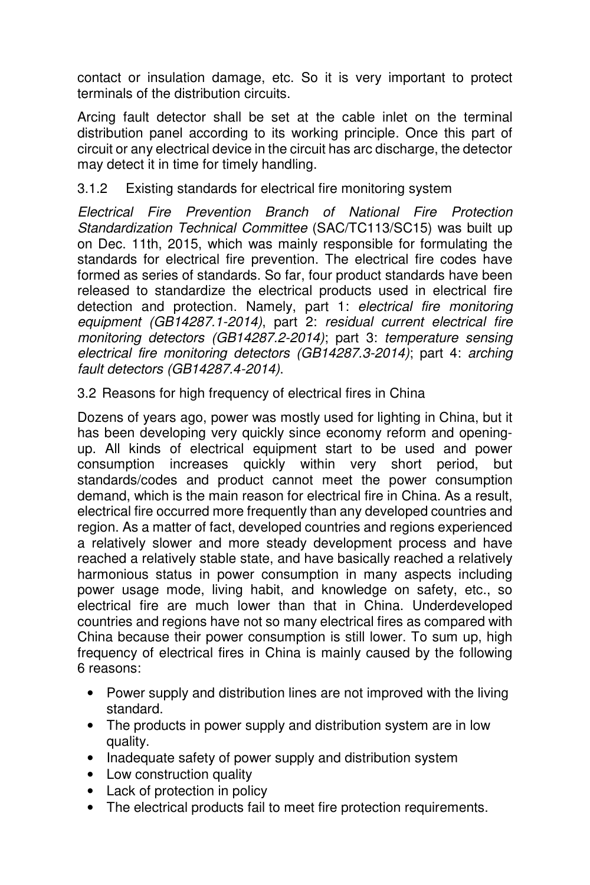contact or insulation damage, etc. So it is very important to protect terminals of the distribution circuits.

Arcing fault detector shall be set at the cable inlet on the terminal distribution panel according to its working principle. Once this part of circuit or any electrical device in the circuit has arc discharge, the detector may detect it in time for timely handling.

# 3.1.2 Existing standards for electrical fire monitoring system

*Electrical Fire Prevention Branch of National Fire Protection Standardization Technical Committee* (SAC/TC113/SC15) was built up on Dec. 11th, 2015, which was mainly responsible for formulating the standards for electrical fire prevention. The electrical fire codes have formed as series of standards. So far, four product standards have been released to standardize the electrical products used in electrical fire detection and protection. Namely, part 1: *electrical fire monitoring equipment (GB14287.1-2014)*, part 2: *residual current electrical fire monitoring detectors (GB14287.2-2014)*; part 3: *temperature sensing electrical fire monitoring detectors (GB14287.3-2014)*; part 4: *arching fault detectors (GB14287.4-2014)*.

3.2 Reasons for high frequency of electrical fires in China

Dozens of years ago, power was mostly used for lighting in China, but it has been developing very quickly since economy reform and openingup. All kinds of electrical equipment start to be used and power consumption increases quickly within very short period, but standards/codes and product cannot meet the power consumption demand, which is the main reason for electrical fire in China. As a result, electrical fire occurred more frequently than any developed countries and region. As a matter of fact, developed countries and regions experienced a relatively slower and more steady development process and have reached a relatively stable state, and have basically reached a relatively harmonious status in power consumption in many aspects including power usage mode, living habit, and knowledge on safety, etc., so electrical fire are much lower than that in China. Underdeveloped countries and regions have not so many electrical fires as compared with China because their power consumption is still lower. To sum up, high frequency of electrical fires in China is mainly caused by the following 6 reasons:

- Power supply and distribution lines are not improved with the living standard.
- The products in power supply and distribution system are in low quality.
- Inadequate safety of power supply and distribution system
- Low construction quality
- Lack of protection in policy
- The electrical products fail to meet fire protection requirements.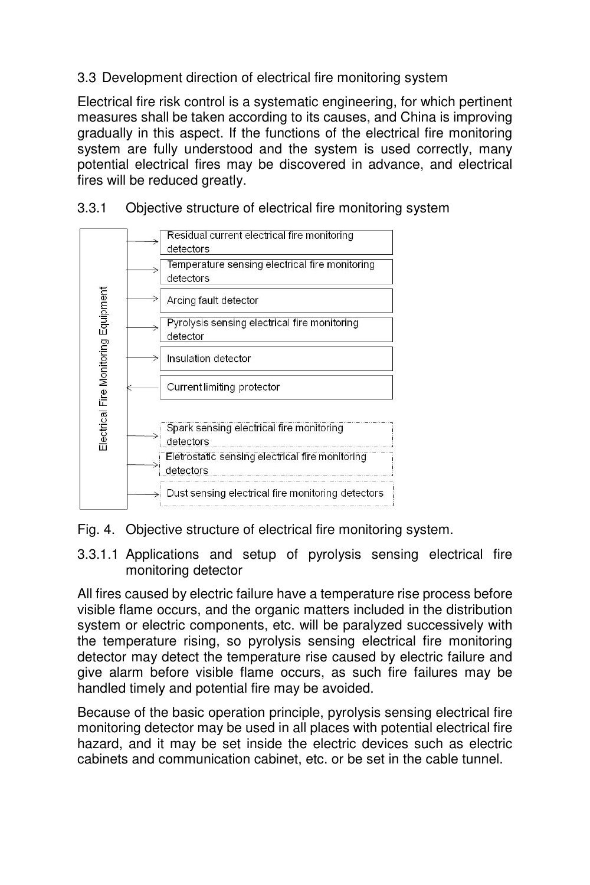## 3.3 Development direction of electrical fire monitoring system

Electrical fire risk control is a systematic engineering, for which pertinent measures shall be taken according to its causes, and China is improving gradually in this aspect. If the functions of the electrical fire monitoring system are fully understood and the system is used correctly, many potential electrical fires may be discovered in advance, and electrical fires will be reduced greatly.



3.3.1 Objective structure of electrical fire monitoring system



3.3.1.1 Applications and setup of pyrolysis sensing electrical fire monitoring detector

All fires caused by electric failure have a temperature rise process before visible flame occurs, and the organic matters included in the distribution system or electric components, etc. will be paralyzed successively with the temperature rising, so pyrolysis sensing electrical fire monitoring detector may detect the temperature rise caused by electric failure and give alarm before visible flame occurs, as such fire failures may be handled timely and potential fire may be avoided.

Because of the basic operation principle, pyrolysis sensing electrical fire monitoring detector may be used in all places with potential electrical fire hazard, and it may be set inside the electric devices such as electric cabinets and communication cabinet, etc. or be set in the cable tunnel.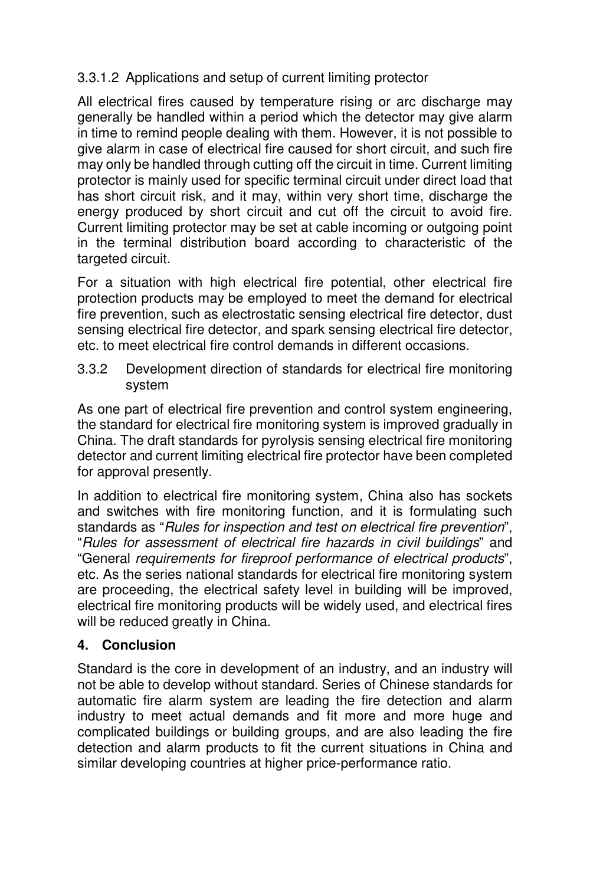# 3.3.1.2 Applications and setup of current limiting protector

All electrical fires caused by temperature rising or arc discharge may generally be handled within a period which the detector may give alarm in time to remind people dealing with them. However, it is not possible to give alarm in case of electrical fire caused for short circuit, and such fire may only be handled through cutting off the circuit in time. Current limiting protector is mainly used for specific terminal circuit under direct load that has short circuit risk, and it may, within very short time, discharge the energy produced by short circuit and cut off the circuit to avoid fire. Current limiting protector may be set at cable incoming or outgoing point in the terminal distribution board according to characteristic of the targeted circuit.

For a situation with high electrical fire potential, other electrical fire protection products may be employed to meet the demand for electrical fire prevention, such as electrostatic sensing electrical fire detector, dust sensing electrical fire detector, and spark sensing electrical fire detector, etc. to meet electrical fire control demands in different occasions.

3.3.2 Development direction of standards for electrical fire monitoring system

As one part of electrical fire prevention and control system engineering, the standard for electrical fire monitoring system is improved gradually in China. The draft standards for pyrolysis sensing electrical fire monitoring detector and current limiting electrical fire protector have been completed for approval presently.

In addition to electrical fire monitoring system, China also has sockets and switches with fire monitoring function, and it is formulating such standards as "*Rules for inspection and test on electrical fire prevention*", "*Rules for assessment of electrical fire hazards in civil buildings*" and "General *requirements for fireproof performance of electrical products*", etc. As the series national standards for electrical fire monitoring system are proceeding, the electrical safety level in building will be improved, electrical fire monitoring products will be widely used, and electrical fires will be reduced greatly in China.

# **4. Conclusion**

Standard is the core in development of an industry, and an industry will not be able to develop without standard. Series of Chinese standards for automatic fire alarm system are leading the fire detection and alarm industry to meet actual demands and fit more and more huge and complicated buildings or building groups, and are also leading the fire detection and alarm products to fit the current situations in China and similar developing countries at higher price-performance ratio.